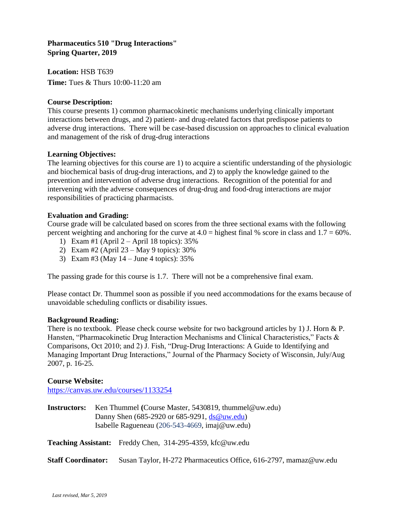# **Pharmaceutics 510 "Drug Interactions" Spring Quarter, 2019**

**Location:** HSB T639 **Time:** Tues & Thurs 10:00-11:20 am

## **Course Description:**

This course presents 1) common pharmacokinetic mechanisms underlying clinically important interactions between drugs, and 2) patient- and drug-related factors that predispose patients to adverse drug interactions. There will be case-based discussion on approaches to clinical evaluation and management of the risk of drug-drug interactions

#### **Learning Objectives:**

The learning objectives for this course are 1) to acquire a scientific understanding of the physiologic and biochemical basis of drug-drug interactions, and 2) to apply the knowledge gained to the prevention and intervention of adverse drug interactions. Recognition of the potential for and intervening with the adverse consequences of drug-drug and food-drug interactions are major responsibilities of practicing pharmacists.

## **Evaluation and Grading:**

Course grade will be calculated based on scores from the three sectional exams with the following percent weighting and anchoring for the curve at  $4.0 =$  highest final % score in class and  $1.7 = 60\%$ .

- 1) Exam #1 (April  $2 -$ April 18 topics): 35%
- 2) Exam #2 (April 23 May 9 topics): 30%
- 3) Exam #3 (May 14 June 4 topics): 35%

The passing grade for this course is 1.7. There will not be a comprehensive final exam.

Please contact Dr. Thummel soon as possible if you need accommodations for the exams because of unavoidable scheduling conflicts or disability issues.

#### **Background Reading:**

There is no textbook. Please check course website for two background articles by 1) J. Horn & P. Hansten, "Pharmacokinetic Drug Interaction Mechanisms and Clinical Characteristics," Facts & Comparisons, Oct 2010; and 2) J. Fish, "Drug-Drug Interactions: A Guide to Identifying and Managing Important Drug Interactions," Journal of the Pharmacy Society of Wisconsin, July/Aug 2007, p. 16-25.

#### **Course Website:**

<https://canvas.uw.edu/courses/1133254>

**Instructors:** Ken Thummel **(**Course Master, 5430819, thummel@uw.edu) Danny Shen (685-2920 or 685-9291, [ds@uw.edu\)](mailto:ds@uw.edu) Isabelle Ragueneau (206-543-4669, imaj@uw.edu)

**Teaching Assistant:** Freddy Chen, 314-295-4359, kfc@uw.edu

#### **Staff Coordinator:** Susan Taylor, H-272 Pharmaceutics Office, 616-2797, mamaz@uw.edu